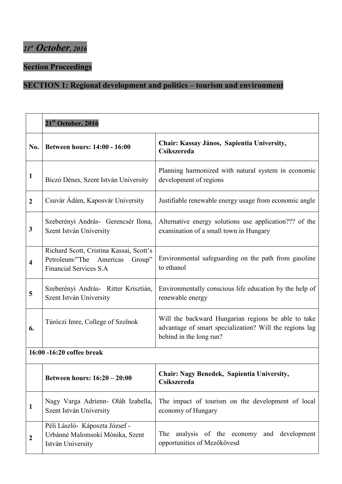#### **Section Proceedings**

#### **SECTION 1: Regional development and politics – tourism and environment**

|                         | 21 <sup>st</sup> October, 2016                                                                                 |                                                                                                                                           |
|-------------------------|----------------------------------------------------------------------------------------------------------------|-------------------------------------------------------------------------------------------------------------------------------------------|
| No.                     | <b>Between hours: 14:00 - 16:00</b>                                                                            | Chair: Kassay János, Sapientia University,<br><b>Csíkszereda</b>                                                                          |
| 1                       | Biczó Dénes, Szent István University                                                                           | Planning harmonized with natural system in economic<br>development of regions                                                             |
| $\boldsymbol{2}$        | Csuvár Ádám, Kaposvár University                                                                               | Justifiable renewable energy usage from economic angle                                                                                    |
| 3                       | Szeberényi András- Gerencsér Ilona,<br>Szent István University                                                 | Alternative energy solutions use application??? of the<br>examination of a small town in Hungary                                          |
| $\overline{\mathbf{4}}$ | Richard Scott, Cristina Kassai, Scott's<br>Petroleum/"The Americas<br>Group"<br><b>Financial Services S.A.</b> | Environmental safeguarding on the path from gasoline<br>to ethanol                                                                        |
| 5                       | Szeberényi András- Ritter Krisztián,<br>Szent István University                                                | Environmentally conscious life education by the help of<br>renewable energy                                                               |
| 6.                      | Túróczi Imre, College of Szolnok                                                                               | Will the backward Hungarian regions be able to take<br>advantage of smart specialization? Will the regions lag<br>behind in the long run? |
|                         | 16:00 -16:20 coffee break                                                                                      |                                                                                                                                           |
|                         | Between hours: 16:20 - 20:00                                                                                   | Chair: Nagy Benedek, Sapientia University,<br><b>Csíkszereda</b>                                                                          |
| 1                       | Nagy Varga Adrienn- Oláh Izabella,<br>Szent István University                                                  | The impact of tourism on the development of local<br>economy of Hungary                                                                   |
| $\boldsymbol{2}$        | Péli László- Káposzta József -<br>Urbánné Malomsoki Mónika, Szent<br>István University                         | analysis of the economy and development<br><b>The</b><br>opportunities of Mezőkövesd                                                      |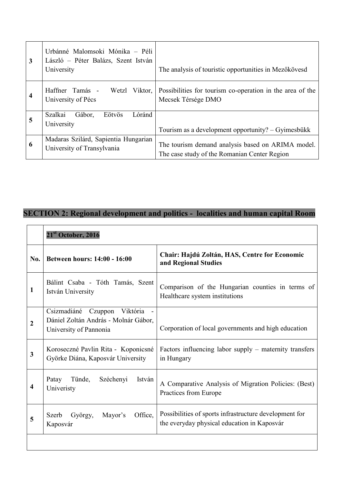| 3 | Urbánné Malomsoki Mónika - Péli<br>László – Péter Balázs, Szent István<br>University | The analysis of touristic opportunities in Mezőkövesd                                             |
|---|--------------------------------------------------------------------------------------|---------------------------------------------------------------------------------------------------|
| 4 | Haffner Tamás -<br>Wetzl Viktor,<br>University of Pécs                               | Possibilities for tourism co-operation in the area of the<br>Mecsek Térsége DMO                   |
| 5 | Szalkai<br>Gábor,<br>Lóránd<br>Eötvös<br>University                                  | Tourism as a development opportunity? – Gyimesbükk                                                |
| 6 | Madaras Szilárd, Sapientia Hungarian<br>University of Transylvania                   | The tourism demand analysis based on ARIMA model.<br>The case study of the Romanian Center Region |

# **SECTION 2: Regional development and politics - localities and human capital Room**

|                | 21 <sup>st</sup> October, 2016                                                                       |                                                                                                       |
|----------------|------------------------------------------------------------------------------------------------------|-------------------------------------------------------------------------------------------------------|
| No.            | <b>Between hours: 14:00 - 16:00</b>                                                                  | Chair: Hajdú Zoltán, HAS, Centre for Economic<br>and Regional Studies                                 |
| 1              | Bálint Csaba - Tóth Tamás, Szent<br>István University                                                | Comparison of the Hungarian counties in terms of<br>Healthcare system institutions                    |
| $\overline{2}$ | Csizmadiáné<br>Viktória<br>Czuppon<br>Dániel Zoltán András - Molnár Gábor,<br>University of Pannonia | Corporation of local governments and high education                                                   |
| 3              | Koroseczné Pavlin Rita - Koponicsné<br>Györke Diána, Kaposvár University                             | Factors influencing labor supply – maternity transfers<br>in Hungary                                  |
| 4              | Patay<br>Tünde,<br>Széchenyi<br>István<br>Univeristy                                                 | A Comparative Analysis of Migration Policies: (Best)<br>Practices from Europe                         |
| 5              | Office,<br>Mayor's<br>Szerb<br>György,<br>Kaposvár                                                   | Possibilities of sports infrastructure development for<br>the everyday physical education in Kaposvár |
|                |                                                                                                      |                                                                                                       |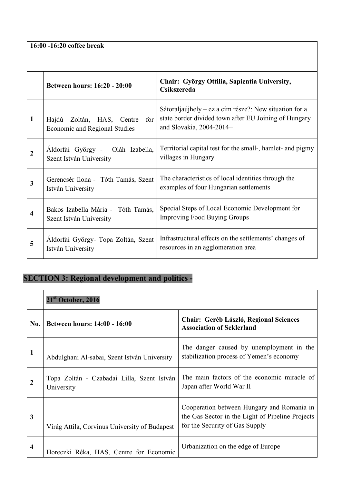**16:00 -16:20 coffee break**

|              | <b>Between hours: 16:20 - 20:00</b>                               | Chair: György Ottilia, Sapientia University,<br>Csíkszereda                                                                                   |  |
|--------------|-------------------------------------------------------------------|-----------------------------------------------------------------------------------------------------------------------------------------------|--|
| $\mathbf{1}$ | Hajdú Zoltán, HAS, Centre<br>for<br>Economic and Regional Studies | Sátoraljaújhely – ez a cím része?: New situation for a<br>state border divided town after EU Joining of Hungary<br>and Slovakia, $2004-2014+$ |  |
| 2            | Aldorfai György - Oláh Izabella,<br>Szent István University       | Territorial capital test for the small-, hamlet- and pigmy<br>villages in Hungary                                                             |  |
| 3            | Gerencsér Ilona - Tóth Tamás, Szent<br>István University          | The characteristics of local identities through the<br>examples of four Hungarian settlements                                                 |  |
| 4            | Bakos Izabella Mária - Tóth Tamás,<br>Szent István University     | Special Steps of Local Economic Development for<br><b>Improving Food Buying Groups</b>                                                        |  |
| 5            | Aldorfai György- Topa Zoltán, Szent<br>István University          | Infrastructural effects on the settlements' changes of<br>resources in an agglomeration area                                                  |  |

#### **SECTION 3: Regional development and politics -**

|                         | 21 <sup>st</sup> October, 2016                           |                                                                                                                                  |
|-------------------------|----------------------------------------------------------|----------------------------------------------------------------------------------------------------------------------------------|
| No.                     | <b>Between hours: 14:00 - 16:00</b>                      | <b>Chair: Geréb László, Regional Sciences</b><br><b>Association of Seklerland</b>                                                |
| 1                       | Abdulghani Al-sabai, Szent István University             | The danger caused by unemployment in the<br>stabilization process of Yemen's economy                                             |
| $\mathbf 2$             | Topa Zoltán - Czabadai Lilla, Szent István<br>University | The main factors of the economic miracle of<br>Japan after World War II                                                          |
| 3                       | Virág Attila, Corvinus University of Budapest            | Cooperation between Hungary and Romania in<br>the Gas Sector in the Light of Pipeline Projects<br>for the Security of Gas Supply |
| $\overline{\mathbf{4}}$ | Horeczki Réka, HAS, Centre for Economic                  | Urbanization on the edge of Europe                                                                                               |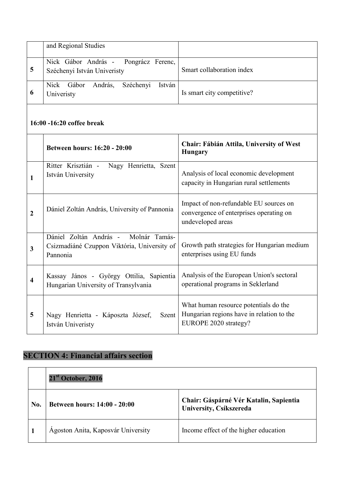|    | and Regional Studies                                                |                            |
|----|---------------------------------------------------------------------|----------------------------|
| 5  | Nick Gábor András - Pongrácz Ferenc,<br>Széchenyi István Univeristy | Smart collaboration index  |
| -6 | Nick Gábor András,<br>Széchenyi<br>István<br>Univeristy             | Is smart city competitive? |

#### **16:00 -16:20 coffee break**

|   | Between hours: 16:20 - 20:00                                                                    | <b>Chair: Fábián Attila, University of West</b><br><b>Hungary</b>                                           |
|---|-------------------------------------------------------------------------------------------------|-------------------------------------------------------------------------------------------------------------|
|   | Ritter Krisztián -<br>Nagy Henrietta, Szent<br>István University                                | Analysis of local economic development<br>capacity in Hungarian rural settlements                           |
| 2 | Dániel Zoltán András, University of Pannonia                                                    | Impact of non-refundable EU sources on<br>convergence of enterprises operating on<br>undeveloped areas      |
| 3 | Dániel Zoltán András - Molnár Tamás-<br>Csizmadiáné Czuppon Viktória, University of<br>Pannonia | Growth path strategies for Hungarian medium<br>enterprises using EU funds                                   |
| 4 | Kassay János - György Ottilia, Sapientia<br>Hungarian University of Transylvania                | Analysis of the European Union's sectoral<br>operational programs in Seklerland                             |
| 5 | Nagy Henrietta - Káposzta József,<br>Szent<br>István Univeristy                                 | What human resource potentials do the<br>Hungarian regions have in relation to the<br>EUROPE 2020 strategy? |

#### **SECTION 4: Financial affairs section**

|     | $21st$ October, 2016                |                                                                   |
|-----|-------------------------------------|-------------------------------------------------------------------|
| No. | <b>Between hours: 14:00 - 20:00</b> | Chair: Gáspárné Vér Katalin, Sapientia<br>University, Csíkszereda |
|     | Ágoston Anita, Kaposvár University  | Income effect of the higher education                             |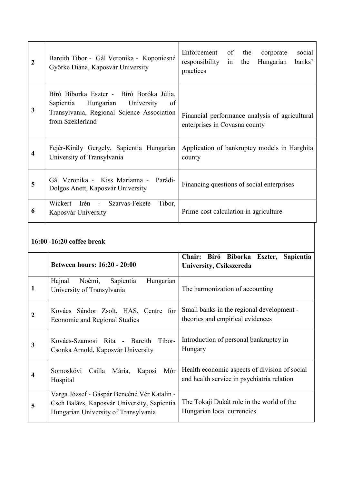| $\boldsymbol{2}$ | Bareith Tibor - Gál Veronika - Koponicsné<br>Györke Diána, Kaposvár University                                                                           | Enforcement of<br>social<br>the<br>corporate<br>responsibility<br>Hungarian<br>banks'<br>in the<br>practices |
|------------------|----------------------------------------------------------------------------------------------------------------------------------------------------------|--------------------------------------------------------------------------------------------------------------|
| 3                | Bíró Bíborka Eszter - Bíró Boróka Júlia,<br>Sapientia<br>Hungarian<br>University<br>of<br>Transylvania, Regional Science Association<br>from Szeklerland | Financial performance analysis of agricultural<br>enterprises in Covasna county                              |
| 4                | Fejér-Király Gergely, Sapientia Hungarian<br>University of Transylvania                                                                                  | Application of bankruptcy models in Harghita<br>county                                                       |
| 5                | Gál Veronika - Kiss Marianna -<br>Parádi-<br>Dolgos Anett, Kaposvár University                                                                           | Financing questions of social enterprises                                                                    |
| 6                | Tibor,<br>Wickert Irén -<br>Szarvas-Fekete<br>Kaposvár University                                                                                        | Prime-cost calculation in agriculture                                                                        |

# **16:00 -16:20 coffee break**

|              | <b>Between hours: 16:20 - 20:00</b>                                                                                                | Chair: Bíró Bíborka Eszter, Sapientia<br>University, Csíkszereda                            |
|--------------|------------------------------------------------------------------------------------------------------------------------------------|---------------------------------------------------------------------------------------------|
| $\mathbf{1}$ | Hajnal<br>Noémi,<br>Sapientia<br>Hungarian<br>University of Transylvania                                                           | The harmonization of accounting                                                             |
| 2            | Kovács Sándor Zsolt, HAS, Centre for<br><b>Economic and Regional Studies</b>                                                       | Small banks in the regional development -<br>theories and empirical evidences               |
| 3            | Kovács-Szamosi Rita - Bareith Tibor-<br>Csonka Arnold, Kaposvár University                                                         | Introduction of personal bankruptcy in<br>Hungary                                           |
| 4            | Somoskövi Csilla Mária,<br>Mór<br>Kaposi<br>Hospital                                                                               | Health economic aspects of division of social<br>and health service in psychiatria relation |
| 5            | Varga József - Gáspár Bencéné Vér Katalin -<br>Cseh Balázs, Kaposvár University, Sapientia<br>Hungarian University of Transylvania | The Tokaji Dukát role in the world of the<br>Hungarian local currencies                     |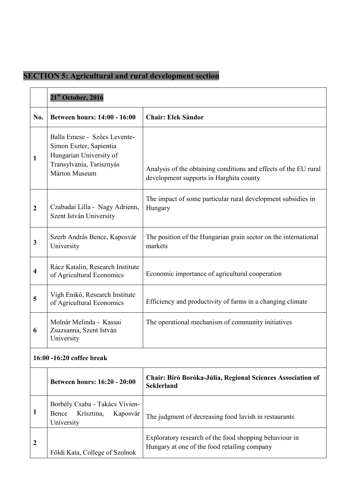#### **SECTION 5: Agricultural and rural development section**

|                         | 21 <sup>st</sup> October, 2016                                                                                                  |                                                                                                             |
|-------------------------|---------------------------------------------------------------------------------------------------------------------------------|-------------------------------------------------------------------------------------------------------------|
| No.                     | Between hours: 14:00 - 16:00                                                                                                    | <b>Chair: Elek Sándor</b>                                                                                   |
| 1                       | Balla Emese - Szőcs Levente-<br>Simon Eszter, Sapientia<br>Hungarian University of<br>Transylvania, Tarisznyás<br>Márton Museum | Analysis of the obtaining conditions and effects of the EU rural<br>development supports in Harghita county |
| $\boldsymbol{2}$        | Czabadai Lilla - Nagy Adrienn,<br>Szent István University                                                                       | The impact of some particular rural development subsidies in<br>Hungary                                     |
| 3                       | Szerb András Bence, Kaposvár<br>University                                                                                      | The position of the Hungarian grain sector on the international<br>markets                                  |
| $\overline{\mathbf{4}}$ | Rácz Katalin, Research Institute<br>of Agricultural Economics                                                                   | Economic importance of agricultural cooperation                                                             |
| 5                       | Vígh Enikő, Research Institute<br>of Agricultural Economics                                                                     | Efficiency and productivity of farms in a changing climate                                                  |
| 6                       | Molnár Melinda - Kassai<br>Zsuzsanna, Szent István<br>University                                                                | The operational mechanism of community initiatives                                                          |
|                         | 16:00 -16:20 coffee break                                                                                                       |                                                                                                             |
|                         | Between hours: 16:20 - 20:00                                                                                                    | Chair: Bíró Boróka-Júlia, Regional Sciences Association of<br><b>Seklerland</b>                             |
| 1                       | Borbély Csaba - Takács Vivien-<br>Bence<br>Krisztina,<br>Kaposvár<br>University                                                 | The judgment of decreasing food lavish in restaurants                                                       |
| 2                       | Földi Kata, College of Szolnok                                                                                                  | Exploratory research of the food shopping behaviour in<br>Hungary at one of the food retailing company      |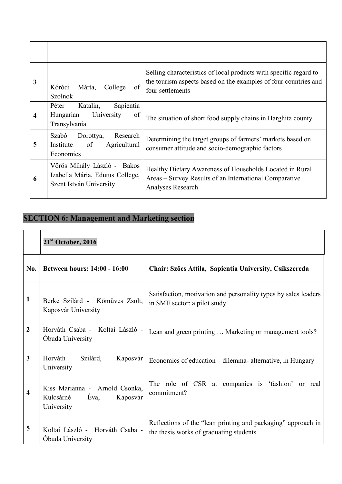| $\mathbf{3}$ | Kóródi<br>Márta,<br>College<br>of<br><b>Szolnok</b>                                          | Selling characteristics of local products with specific regard to<br>the tourism aspects based on the examples of four countries and<br>four settlements |
|--------------|----------------------------------------------------------------------------------------------|----------------------------------------------------------------------------------------------------------------------------------------------------------|
| 4            | Sapientia<br>Katalin,<br>Péter<br>of<br>Hungarian<br>University<br>Transylvania              | The situation of short food supply chains in Harghita county                                                                                             |
| 5            | Research<br>Szabó<br>Dorottya,<br>Agricultural<br>of<br>Institute<br>Economics               | Determining the target groups of farmers' markets based on<br>consumer attitude and socio-demographic factors                                            |
| 6            | Vörös Mihály László -<br>Bakos<br>Izabella Mária, Edutus College,<br>Szent István University | Healthy Dietary Awareness of Households Located in Rural<br>Areas – Survey Results of an International Comparative<br>Analyses Research                  |

# **SECTION 6: Management and Marketing section**

|                  | $21st$ October, 2016                                                          |                                                                                                         |
|------------------|-------------------------------------------------------------------------------|---------------------------------------------------------------------------------------------------------|
| No.              | <b>Between hours: 14:00 - 16:00</b>                                           | Chair: Szőcs Attila, Sapientia University, Csíkszereda                                                  |
| 1                | Berke Szilárd - Kőműves Zsolt,<br>Kaposvár University                         | Satisfaction, motivation and personality types by sales leaders<br>in SME sector: a pilot study         |
| $\boldsymbol{2}$ | Horváth Csaba - Koltai László -<br>Óbuda University                           | Lean and green printing  Marketing or management tools?                                                 |
| 3                | Horváth<br>Szilárd,<br>Kaposvár<br>University                                 | Economics of education – dilemma- alternative, in Hungary                                               |
| 4                | Kiss Marianna - Arnold Csonka,<br>Éva,<br>Kulcsárné<br>Kaposvár<br>University | The role of CSR at companies is 'fashion'<br>or real<br>commitment?                                     |
| 5                | Koltai László - Horváth Csaba -<br>Óbuda University                           | Reflections of the "lean printing and packaging" approach in<br>the thesis works of graduating students |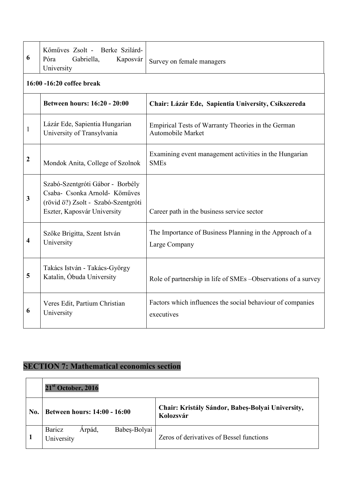| 6                | Kömüves Zsolt - Berke Szilárd-<br>Gabriella,<br>Póra<br>Kaposvár<br>University                                                          | Survey on female managers                                                 |  |  |  |
|------------------|-----------------------------------------------------------------------------------------------------------------------------------------|---------------------------------------------------------------------------|--|--|--|
|                  | 16:00 -16:20 coffee break                                                                                                               |                                                                           |  |  |  |
|                  | Between hours: 16:20 - 20:00                                                                                                            | Chair: Lázár Ede, Sapientia University, Csíkszereda                       |  |  |  |
| $\mathbf{1}$     | Lázár Ede, Sapientia Hungarian<br>University of Transylvania                                                                            | Empirical Tests of Warranty Theories in the German<br>Automobile Market   |  |  |  |
| $\boldsymbol{2}$ | Mondok Anita, College of Szolnok                                                                                                        | Examining event management activities in the Hungarian<br><b>SMEs</b>     |  |  |  |
| 3                | Szabó-Szentgróti Gábor - Borbély<br>Csaba- Csonka Arnold- Köműves<br>(rövid ö?) Zsolt - Szabó-Szentgróti<br>Eszter, Kaposvár University | Career path in the business service sector                                |  |  |  |
| 4                | Szőke Brigitta, Szent István<br>University                                                                                              | The Importance of Business Planning in the Approach of a<br>Large Company |  |  |  |
| 5                | Takács István - Takács-György<br>Katalin, Óbuda University                                                                              | Role of partnership in life of SMEs -Observations of a survey             |  |  |  |
| 6                | Veres Edit, Partium Christian<br>University                                                                                             | Factors which influences the social behaviour of companies<br>executives  |  |  |  |

# **SECTION 7: Mathematical economics section**

|     | $21st$ October, 2016                                  |                                                               |
|-----|-------------------------------------------------------|---------------------------------------------------------------|
| No. | <b>Between hours: 14:00 - 16:00</b>                   | Chair: Kristály Sándor, Babeș-Bolyai University,<br>Kolozsvár |
|     | Babeș-Bolyai<br><b>Baricz</b><br>Arpád,<br>University | Zeros of derivatives of Bessel functions                      |